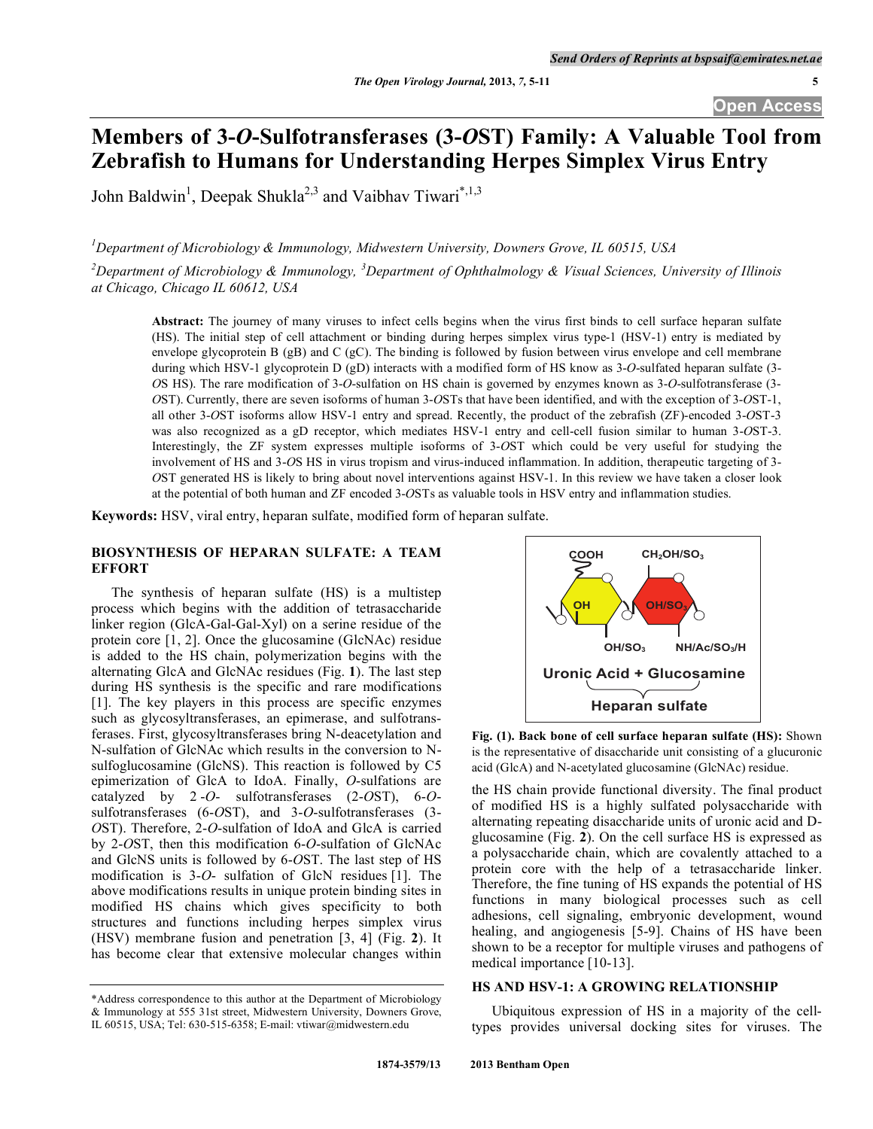# **Members of 3-***O***-Sulfotransferases (3-***O***ST) Family: A Valuable Tool from Zebrafish to Humans for Understanding Herpes Simplex Virus Entry**

John Baldwin<sup>1</sup>, Deepak Shukla<sup>2,3</sup> and Vaibhav Tiwari<sup>\*,1,3</sup>

*1 Department of Microbiology & Immunology, Midwestern University, Downers Grove, IL 60515, USA* 

*2 Department of Microbiology & Immunology, <sup>3</sup> Department of Ophthalmology & Visual Sciences, University of Illinois at Chicago, Chicago IL 60612, USA* 

**Abstract:** The journey of many viruses to infect cells begins when the virus first binds to cell surface heparan sulfate (HS). The initial step of cell attachment or binding during herpes simplex virus type-1 (HSV-1) entry is mediated by envelope glycoprotein B (gB) and C (gC). The binding is followed by fusion between virus envelope and cell membrane during which HSV-1 glycoprotein D (gD) interacts with a modified form of HS know as 3-*O*-sulfated heparan sulfate (3- *O*S HS). The rare modification of 3-*O*-sulfation on HS chain is governed by enzymes known as 3-*O*-sulfotransferase (3- *O*ST). Currently, there are seven isoforms of human 3-*O*STs that have been identified, and with the exception of 3-*O*ST-1, all other 3-*O*ST isoforms allow HSV-1 entry and spread. Recently, the product of the zebrafish (ZF)-encoded 3-*O*ST-3 was also recognized as a gD receptor, which mediates HSV-1 entry and cell-cell fusion similar to human 3-*O*ST-3. Interestingly, the ZF system expresses multiple isoforms of 3-*O*ST which could be very useful for studying the involvement of HS and 3-*O*S HS in virus tropism and virus-induced inflammation. In addition, therapeutic targeting of 3- *O*ST generated HS is likely to bring about novel interventions against HSV-1. In this review we have taken a closer look at the potential of both human and ZF encoded 3-*O*STs as valuable tools in HSV entry and inflammation studies.

**Keywords:** HSV, viral entry, heparan sulfate, modified form of heparan sulfate.

#### **BIOSYNTHESIS OF HEPARAN SULFATE: A TEAM EFFORT**

 The synthesis of heparan sulfate (HS) is a multistep process which begins with the addition of tetrasaccharide linker region (GlcA-Gal-Gal-Xyl) on a serine residue of the protein core [1, 2]. Once the glucosamine (GlcNAc) residue is added to the HS chain, polymerization begins with the alternating GlcA and GlcNAc residues (Fig. **1**). The last step during HS synthesis is the specific and rare modifications [1]. The key players in this process are specific enzymes such as glycosyltransferases, an epimerase, and sulfotransferases. First, glycosyltransferases bring N-deacetylation and N-sulfation of GlcNAc which results in the conversion to Nsulfoglucosamine (GlcNS). This reaction is followed by C5 epimerization of GlcA to IdoA. Finally, *O*-sulfations are catalyzed by 2 -*O*- sulfotransferases (2-*O*ST), 6-*O*sulfotransferases (6-*O*ST), and 3-*O*-sulfotransferases (3- *O*ST). Therefore, 2-*O*-sulfation of IdoA and GlcA is carried by 2-*O*ST, then this modification 6-*O*-sulfation of GlcNAc and GlcNS units is followed by 6-*O*ST. The last step of HS modification is 3-*O*- sulfation of GlcN residues [1]. The above modifications results in unique protein binding sites in modified HS chains which gives specificity to both structures and functions including herpes simplex virus (HSV) membrane fusion and penetration [3, 4] (Fig. **2**). It has become clear that extensive molecular changes within



**Fig. (1). Back bone of cell surface heparan sulfate (HS):** Shown is the representative of disaccharide unit consisting of a glucuronic acid (GlcA) and N-acetylated glucosamine (GlcNAc) residue.

the HS chain provide functional diversity. The final product of modified HS is a highly sulfated polysaccharide with alternating repeating disaccharide units of uronic acid and Dglucosamine (Fig. **2**). On the cell surface HS is expressed as a polysaccharide chain, which are covalently attached to a protein core with the help of a tetrasaccharide linker. Therefore, the fine tuning of HS expands the potential of HS functions in many biological processes such as cell adhesions, cell signaling, embryonic development, wound healing, and angiogenesis [5-9]. Chains of HS have been shown to be a receptor for multiple viruses and pathogens of medical importance [10-13].

## **HS AND HSV-1: A GROWING RELATIONSHIP**

 Ubiquitous expression of HS in a majority of the celltypes provides universal docking sites for viruses. The

<sup>\*</sup>Address correspondence to this author at the Department of Microbiology & Immunology at 555 31st street, Midwestern University, Downers Grove, IL 60515, USA; Tel: 630-515-6358; E-mail: vtiwar@midwestern.edu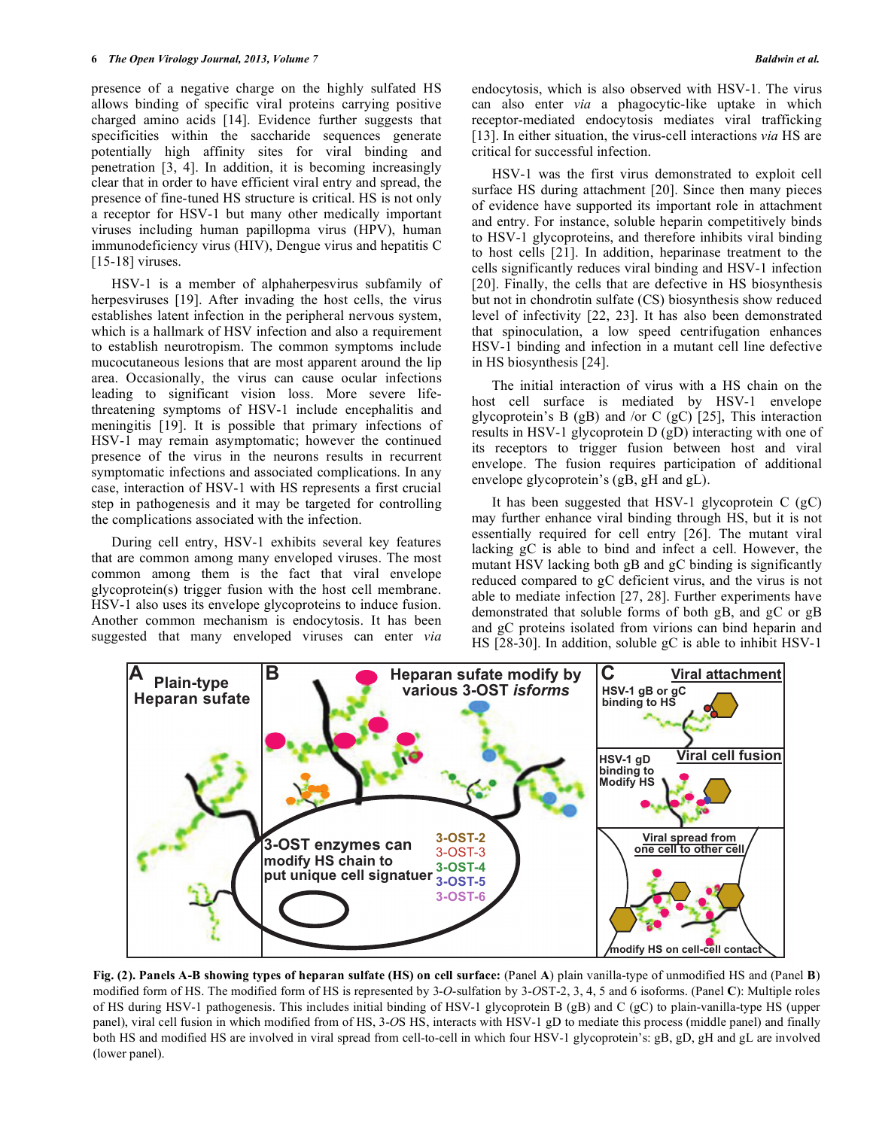presence of a negative charge on the highly sulfated HS allows binding of specific viral proteins carrying positive charged amino acids [14]. Evidence further suggests that specificities within the saccharide sequences generate potentially high affinity sites for viral binding and penetration [3, 4]. In addition, it is becoming increasingly clear that in order to have efficient viral entry and spread, the presence of fine-tuned HS structure is critical. HS is not only a receptor for HSV-1 but many other medically important viruses including human papillopma virus (HPV), human immunodeficiency virus (HIV), Dengue virus and hepatitis C [15-18] viruses.

 HSV-1 is a member of alphaherpesvirus subfamily of herpesviruses [19]. After invading the host cells, the virus establishes latent infection in the peripheral nervous system, which is a hallmark of HSV infection and also a requirement to establish neurotropism. The common symptoms include mucocutaneous lesions that are most apparent around the lip area. Occasionally, the virus can cause ocular infections leading to significant vision loss. More severe lifethreatening symptoms of HSV-1 include encephalitis and meningitis [19]. It is possible that primary infections of HSV-1 may remain asymptomatic; however the continued presence of the virus in the neurons results in recurrent symptomatic infections and associated complications. In any case, interaction of HSV-1 with HS represents a first crucial step in pathogenesis and it may be targeted for controlling the complications associated with the infection.

 During cell entry, HSV-1 exhibits several key features that are common among many enveloped viruses. The most common among them is the fact that viral envelope glycoprotein(s) trigger fusion with the host cell membrane. HSV-1 also uses its envelope glycoproteins to induce fusion. Another common mechanism is endocytosis. It has been suggested that many enveloped viruses can enter *via*  endocytosis, which is also observed with HSV-1. The virus can also enter *via* a phagocytic-like uptake in which receptor-mediated endocytosis mediates viral trafficking [13]. In either situation, the virus-cell interactions *via* HS are critical for successful infection.

 HSV-1 was the first virus demonstrated to exploit cell surface HS during attachment [20]. Since then many pieces of evidence have supported its important role in attachment and entry. For instance, soluble heparin competitively binds to HSV-1 glycoproteins, and therefore inhibits viral binding to host cells [21]. In addition, heparinase treatment to the cells significantly reduces viral binding and HSV-1 infection [20]. Finally, the cells that are defective in HS biosynthesis but not in chondrotin sulfate (CS) biosynthesis show reduced level of infectivity [22, 23]. It has also been demonstrated that spinoculation, a low speed centrifugation enhances HSV-1 binding and infection in a mutant cell line defective in HS biosynthesis [24].

 The initial interaction of virus with a HS chain on the host cell surface is mediated by HSV-1 envelope glycoprotein's B (gB) and /or C (gC) [25], This interaction results in HSV-1 glycoprotein D (gD) interacting with one of its receptors to trigger fusion between host and viral envelope. The fusion requires participation of additional envelope glycoprotein's (gB, gH and gL).

 It has been suggested that HSV-1 glycoprotein C (gC) may further enhance viral binding through HS, but it is not essentially required for cell entry [26]. The mutant viral lacking gC is able to bind and infect a cell. However, the mutant HSV lacking both gB and gC binding is significantly reduced compared to gC deficient virus, and the virus is not able to mediate infection [27, 28]. Further experiments have demonstrated that soluble forms of both gB, and gC or gB and gC proteins isolated from virions can bind heparin and HS [28-30]. In addition, soluble gC is able to inhibit HSV-1



**Fig. (2). Panels A-B showing types of heparan sulfate (HS) on cell surface:** (Panel **A**) plain vanilla-type of unmodified HS and (Panel **B**) modified form of HS. The modified form of HS is represented by 3-*O*-sulfation by 3-*O*ST-2, 3, 4, 5 and 6 isoforms. (Panel **C**): Multiple roles of HS during HSV-1 pathogenesis. This includes initial binding of HSV-1 glycoprotein B (gB) and C (gC) to plain-vanilla-type HS (upper panel), viral cell fusion in which modified from of HS, 3-*O*S HS, interacts with HSV-1 gD to mediate this process (middle panel) and finally both HS and modified HS are involved in viral spread from cell-to-cell in which four HSV-1 glycoprotein's: gB, gD, gH and gL are involved (lower panel).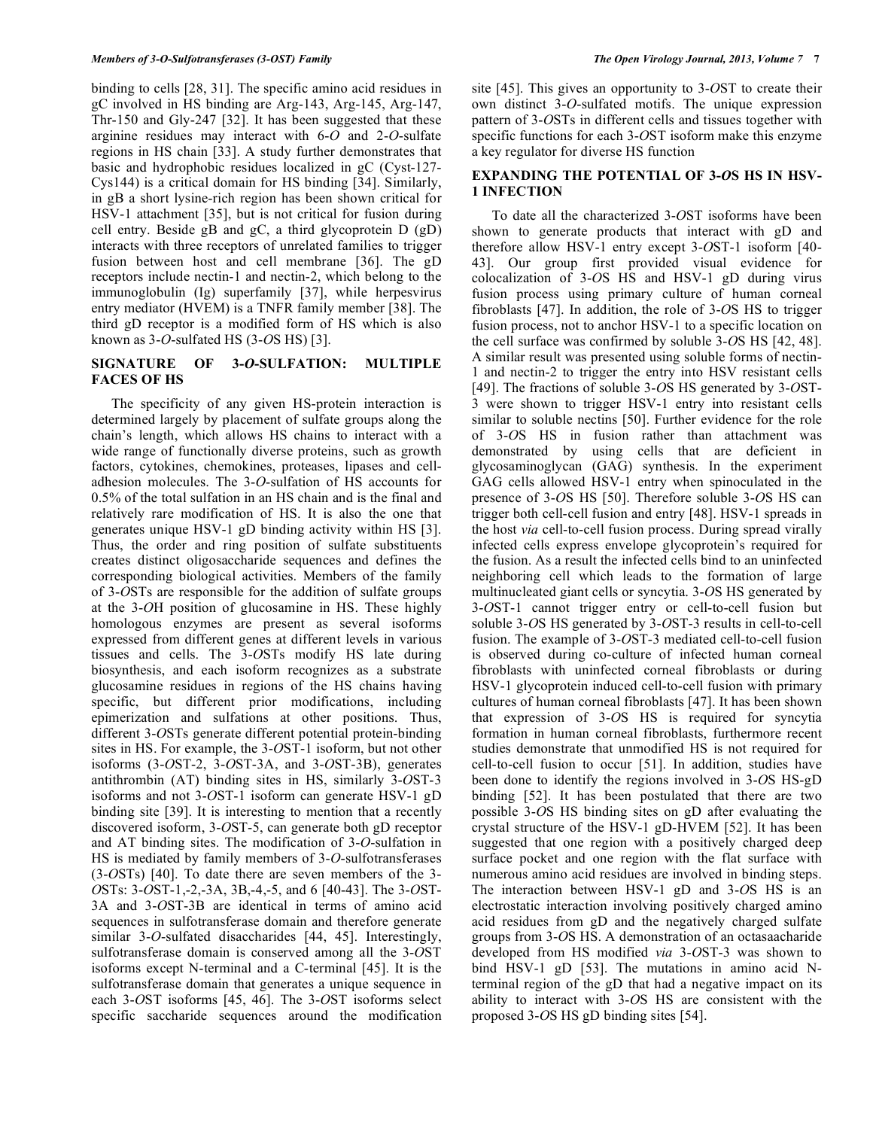binding to cells [28, 31]. The specific amino acid residues in gC involved in HS binding are Arg-143, Arg-145, Arg-147, Thr-150 and Gly-247 [32]. It has been suggested that these arginine residues may interact with 6-*O* and 2-*O*-sulfate regions in HS chain [33]. A study further demonstrates that basic and hydrophobic residues localized in gC (Cyst-127- Cys144) is a critical domain for HS binding [34]. Similarly, in gB a short lysine-rich region has been shown critical for HSV-1 attachment [35], but is not critical for fusion during cell entry. Beside gB and gC, a third glycoprotein D (gD) interacts with three receptors of unrelated families to trigger fusion between host and cell membrane [36]. The gD receptors include nectin-1 and nectin-2, which belong to the immunoglobulin (Ig) superfamily [37], while herpesvirus entry mediator (HVEM) is a TNFR family member [38]. The third gD receptor is a modified form of HS which is also known as 3-*O*-sulfated HS (3-*O*S HS) [3].

## **SIGNATURE OF 3-***O***-SULFATION: MULTIPLE FACES OF HS**

 The specificity of any given HS-protein interaction is determined largely by placement of sulfate groups along the chain's length, which allows HS chains to interact with a wide range of functionally diverse proteins, such as growth factors, cytokines, chemokines, proteases, lipases and celladhesion molecules. The 3-*O*-sulfation of HS accounts for 0.5% of the total sulfation in an HS chain and is the final and relatively rare modification of HS. It is also the one that generates unique HSV-1 gD binding activity within HS [3]. Thus, the order and ring position of sulfate substituents creates distinct oligosaccharide sequences and defines the corresponding biological activities. Members of the family of 3-*O*STs are responsible for the addition of sulfate groups at the 3-*O*H position of glucosamine in HS. These highly homologous enzymes are present as several isoforms expressed from different genes at different levels in various tissues and cells. The 3-*O*STs modify HS late during biosynthesis, and each isoform recognizes as a substrate glucosamine residues in regions of the HS chains having specific, but different prior modifications, including epimerization and sulfations at other positions. Thus, different 3-*O*STs generate different potential protein-binding sites in HS. For example, the 3-*O*ST-1 isoform, but not other isoforms (3-*O*ST-2, 3-*O*ST-3A, and 3-*O*ST-3B), generates antithrombin (AT) binding sites in HS, similarly 3-*O*ST-3 isoforms and not 3-*O*ST-1 isoform can generate HSV-1 gD binding site [39]. It is interesting to mention that a recently discovered isoform, 3-*O*ST-5, can generate both gD receptor and AT binding sites. The modification of 3-*O*-sulfation in HS is mediated by family members of 3-*O*-sulfotransferases (3-*O*STs) [40]. To date there are seven members of the 3- *O*STs: 3-*O*ST-1,-2,-3A, 3B,-4,-5, and 6 [40-43]. The 3-*O*ST-3A and 3-*O*ST-3B are identical in terms of amino acid sequences in sulfotransferase domain and therefore generate similar 3-*O*-sulfated disaccharides [44, 45]. Interestingly, sulfotransferase domain is conserved among all the 3-*O*ST isoforms except N-terminal and a C-terminal [45]. It is the sulfotransferase domain that generates a unique sequence in each 3-*O*ST isoforms [45, 46]. The 3-*O*ST isoforms select specific saccharide sequences around the modification

site [45]. This gives an opportunity to 3-*O*ST to create their own distinct 3-*O*-sulfated motifs. The unique expression pattern of 3-*O*STs in different cells and tissues together with specific functions for each 3-*O*ST isoform make this enzyme a key regulator for diverse HS function

#### **EXPANDING THE POTENTIAL OF 3-***O***S HS IN HSV-1 INFECTION**

 To date all the characterized 3-*O*ST isoforms have been shown to generate products that interact with gD and therefore allow HSV-1 entry except 3-*O*ST-1 isoform [40- 43]. Our group first provided visual evidence for colocalization of 3-*O*S HS and HSV-1 gD during virus fusion process using primary culture of human corneal fibroblasts [47]. In addition, the role of 3-*O*S HS to trigger fusion process, not to anchor HSV-1 to a specific location on the cell surface was confirmed by soluble 3-*O*S HS [42, 48]. A similar result was presented using soluble forms of nectin-1 and nectin-2 to trigger the entry into HSV resistant cells [49]. The fractions of soluble 3-*O*S HS generated by 3-*O*ST-3 were shown to trigger HSV-1 entry into resistant cells similar to soluble nectins [50]. Further evidence for the role of 3-*O*S HS in fusion rather than attachment was demonstrated by using cells that are deficient in glycosaminoglycan (GAG) synthesis. In the experiment GAG cells allowed HSV-1 entry when spinoculated in the presence of 3-*O*S HS [50]. Therefore soluble 3-*O*S HS can trigger both cell-cell fusion and entry [48]. HSV-1 spreads in the host *via* cell-to-cell fusion process. During spread virally infected cells express envelope glycoprotein's required for the fusion. As a result the infected cells bind to an uninfected neighboring cell which leads to the formation of large multinucleated giant cells or syncytia. 3-*O*S HS generated by 3-*O*ST-1 cannot trigger entry or cell-to-cell fusion but soluble 3-*O*S HS generated by 3-*O*ST-3 results in cell-to-cell fusion. The example of 3-*O*ST-3 mediated cell-to-cell fusion is observed during co-culture of infected human corneal fibroblasts with uninfected corneal fibroblasts or during HSV-1 glycoprotein induced cell-to-cell fusion with primary cultures of human corneal fibroblasts [47]. It has been shown that expression of 3-*O*S HS is required for syncytia formation in human corneal fibroblasts, furthermore recent studies demonstrate that unmodified HS is not required for cell-to-cell fusion to occur [51]. In addition, studies have been done to identify the regions involved in 3-*O*S HS-gD binding [52]. It has been postulated that there are two possible 3-*O*S HS binding sites on gD after evaluating the crystal structure of the HSV-1 gD-HVEM [52]. It has been suggested that one region with a positively charged deep surface pocket and one region with the flat surface with numerous amino acid residues are involved in binding steps. The interaction between HSV-1 gD and 3-*O*S HS is an electrostatic interaction involving positively charged amino acid residues from gD and the negatively charged sulfate groups from 3-*O*S HS. A demonstration of an octasaacharide developed from HS modified *via* 3-*O*ST-3 was shown to bind HSV-1 gD [53]. The mutations in amino acid Nterminal region of the gD that had a negative impact on its ability to interact with 3-*O*S HS are consistent with the proposed 3-*O*S HS gD binding sites [54].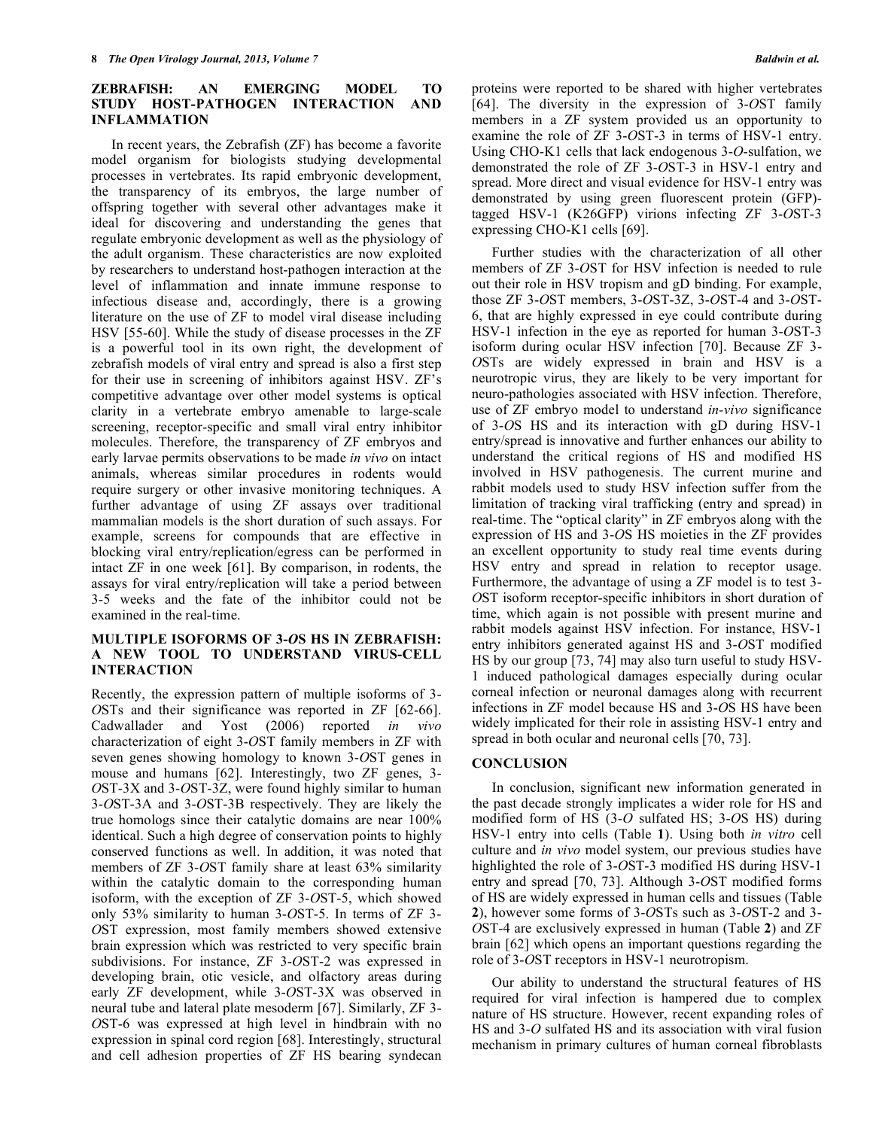#### **ZEBRAFISH: AN EMERGING MODEL TO STUDY HOST-PATHOGEN INTERACTION AND INFLAMMATION**

 In recent years, the Zebrafish (ZF) has become a favorite model organism for biologists studying developmental processes in vertebrates. Its rapid embryonic development, the transparency of its embryos, the large number of offspring together with several other advantages make it ideal for discovering and understanding the genes that regulate embryonic development as well as the physiology of the adult organism. These characteristics are now exploited by researchers to understand host-pathogen interaction at the level of inflammation and innate immune response to infectious disease and, accordingly, there is a growing literature on the use of ZF to model viral disease including HSV [55-60]. While the study of disease processes in the ZF is a powerful tool in its own right, the development of zebrafish models of viral entry and spread is also a first step for their use in screening of inhibitors against HSV. ZF's competitive advantage over other model systems is optical clarity in a vertebrate embryo amenable to large-scale screening, receptor-specific and small viral entry inhibitor molecules. Therefore, the transparency of ZF embryos and early larvae permits observations to be made *in vivo* on intact animals, whereas similar procedures in rodents would require surgery or other invasive monitoring techniques. A further advantage of using ZF assays over traditional mammalian models is the short duration of such assays. For example, screens for compounds that are effective in blocking viral entry/replication/egress can be performed in intact ZF in one week [61]. By comparison, in rodents, the assays for viral entry/replication will take a period between 3-5 weeks and the fate of the inhibitor could not be examined in the real-time.

#### **MULTIPLE ISOFORMS OF 3-***O***S HS IN ZEBRAFISH: A NEW TOOL TO UNDERSTAND VIRUS-CELL INTERACTION**

Recently, the expression pattern of multiple isoforms of 3- *O*STs and their significance was reported in ZF [62-66]. Cadwallader and Yost (2006) reported *in vivo* characterization of eight 3-*O*ST family members in ZF with seven genes showing homology to known 3-*O*ST genes in mouse and humans [62]. Interestingly, two ZF genes, 3- *O*ST-3X and 3-*O*ST-3Z, were found highly similar to human 3-*O*ST-3A and 3-*O*ST-3B respectively. They are likely the true homologs since their catalytic domains are near 100% identical. Such a high degree of conservation points to highly conserved functions as well. In addition, it was noted that members of ZF 3-*O*ST family share at least 63% similarity within the catalytic domain to the corresponding human isoform, with the exception of ZF 3-*O*ST-5, which showed only 53% similarity to human 3-*O*ST-5. In terms of ZF 3- *O*ST expression, most family members showed extensive brain expression which was restricted to very specific brain subdivisions. For instance, ZF 3-*O*ST-2 was expressed in developing brain, otic vesicle, and olfactory areas during early ZF development, while 3-*O*ST-3X was observed in neural tube and lateral plate mesoderm [67]. Similarly, ZF 3- *O*ST-6 was expressed at high level in hindbrain with no expression in spinal cord region [68]. Interestingly, structural and cell adhesion properties of ZF HS bearing syndecan

proteins were reported to be shared with higher vertebrates [64]. The diversity in the expression of 3-*O*ST family members in a ZF system provided us an opportunity to examine the role of ZF 3-*O*ST-3 in terms of HSV-1 entry. Using CHO-K1 cells that lack endogenous 3-*O*-sulfation, we demonstrated the role of ZF 3-*O*ST-3 in HSV-1 entry and spread. More direct and visual evidence for HSV-1 entry was demonstrated by using green fluorescent protein (GFP) tagged HSV-1 (K26GFP) virions infecting ZF 3-*O*ST-3 expressing CHO-K1 cells [69].

 Further studies with the characterization of all other members of ZF 3-*O*ST for HSV infection is needed to rule out their role in HSV tropism and gD binding. For example, those ZF 3-*O*ST members, 3-*O*ST-3Z, 3-*O*ST-4 and 3-*O*ST-6, that are highly expressed in eye could contribute during HSV-1 infection in the eye as reported for human 3-*O*ST-3 isoform during ocular HSV infection [70]. Because ZF 3- *O*STs are widely expressed in brain and HSV is a neurotropic virus, they are likely to be very important for neuro-pathologies associated with HSV infection. Therefore, use of ZF embryo model to understand *in-vivo* significance of 3-*O*S HS and its interaction with gD during HSV-1 entry/spread is innovative and further enhances our ability to understand the critical regions of HS and modified HS involved in HSV pathogenesis. The current murine and rabbit models used to study HSV infection suffer from the limitation of tracking viral trafficking (entry and spread) in real-time. The "optical clarity" in ZF embryos along with the expression of HS and 3-*O*S HS moieties in the ZF provides an excellent opportunity to study real time events during HSV entry and spread in relation to receptor usage. Furthermore, the advantage of using a ZF model is to test 3- *O*ST isoform receptor-specific inhibitors in short duration of time, which again is not possible with present murine and rabbit models against HSV infection. For instance, HSV-1 entry inhibitors generated against HS and 3-*O*ST modified HS by our group [73, 74] may also turn useful to study HSV-1 induced pathological damages especially during ocular corneal infection or neuronal damages along with recurrent infections in ZF model because HS and 3-*O*S HS have been widely implicated for their role in assisting HSV-1 entry and spread in both ocular and neuronal cells [70, 73].

### **CONCLUSION**

 In conclusion, significant new information generated in the past decade strongly implicates a wider role for HS and modified form of HS (3-*O* sulfated HS; 3-*O*S HS) during HSV-1 entry into cells (Table **1**). Using both *in vitro* cell culture and *in vivo* model system, our previous studies have highlighted the role of 3-*O*ST-3 modified HS during HSV-1 entry and spread [70, 73]. Although 3-*O*ST modified forms of HS are widely expressed in human cells and tissues (Table **2**), however some forms of 3-*O*STs such as 3-*O*ST-2 and 3- *O*ST-4 are exclusively expressed in human (Table **2**) and ZF brain [62] which opens an important questions regarding the role of 3-*O*ST receptors in HSV-1 neurotropism.

 Our ability to understand the structural features of HS required for viral infection is hampered due to complex nature of HS structure. However, recent expanding roles of HS and 3-*O* sulfated HS and its association with viral fusion mechanism in primary cultures of human corneal fibroblasts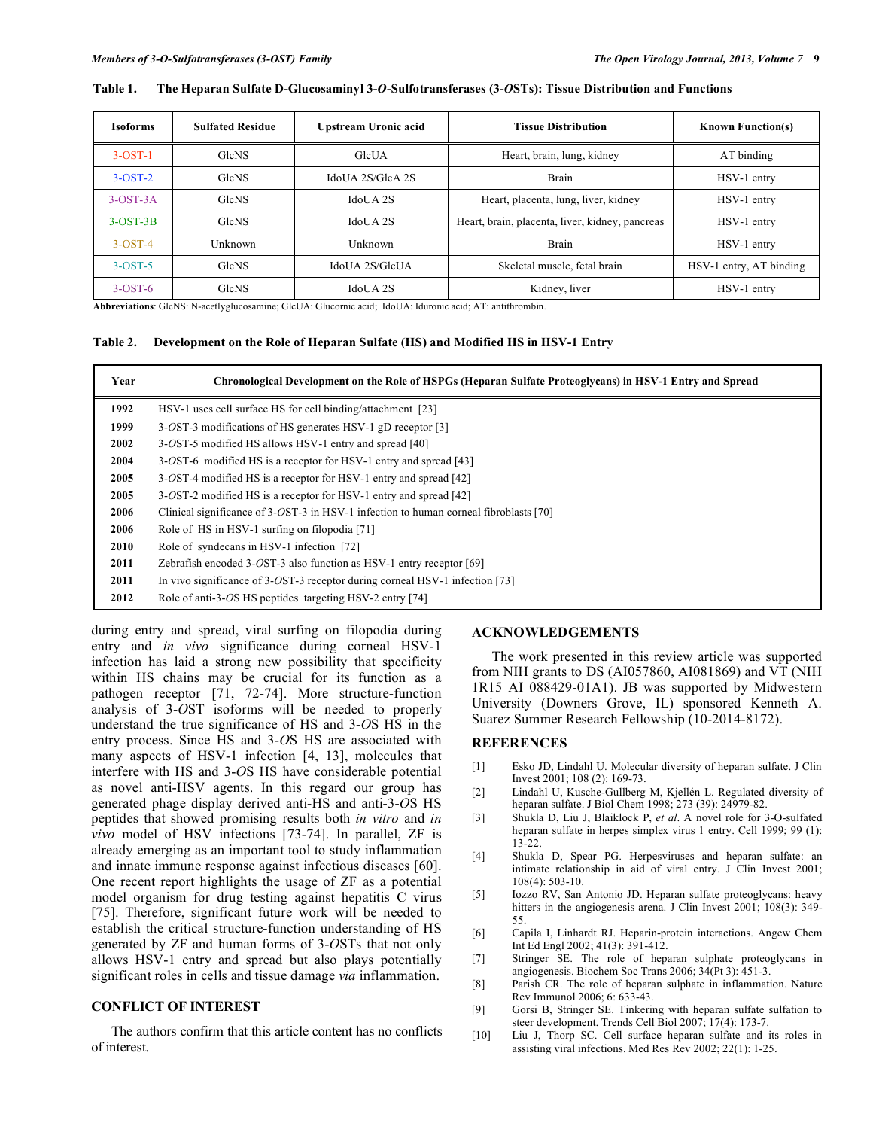| <b>Isoforms</b> | <b>Sulfated Residue</b> | Upstream Uronic acid  | <b>Tissue Distribution</b>                      | <b>Known Function(s)</b> |
|-----------------|-------------------------|-----------------------|-------------------------------------------------|--------------------------|
| $3-OST-1$       | <b>GleNS</b>            | GleUA                 | Heart, brain, lung, kidney                      | AT binding               |
| $3-OST-2$       | <b>GleNS</b>            | IdoUA 2S/GlcA 2S      | Brain                                           | HSV-1 entry              |
| $3-OST-3A$      | <b>GleNS</b>            | IdoUA 2S              | Heart, placenta, lung, liver, kidney            | HSV-1 entry              |
| $3-OST-3B$      | <b>GleNS</b>            | IdoUA 2S              | Heart, brain, placenta, liver, kidney, pancreas | HSV-1 entry              |
| $3-OST-4$       | Unknown                 | Unknown               | Brain                                           | HSV-1 entry              |
| $3-OST-5$       | <b>GlcNS</b>            | <b>IdoUA 2S/GleUA</b> | Skeletal muscle, fetal brain                    | HSV-1 entry, AT binding  |
| $3-OST-6$       | <b>GleNS</b>            | IdoUA 2S              | Kidney, liver                                   | HSV-1 entry              |

#### **Table 1. The Heparan Sulfate D-Glucosaminyl 3-***O***-Sulfotransferases (3-***O***STs): Tissue Distribution and Functions**

**Abbreviations**: GlcNS: N-acetlyglucosamine; GlcUA: Glucornic acid; IdoUA: Iduronic acid; AT: antithrombin.

#### **Table 2. Development on the Role of Heparan Sulfate (HS) and Modified HS in HSV-1 Entry**

| Year | Chronological Development on the Role of HSPGs (Heparan Sulfate Proteoglycans) in HSV-1 Entry and Spread |  |  |
|------|----------------------------------------------------------------------------------------------------------|--|--|
| 1992 | HSV-1 uses cell surface HS for cell binding/attachment [23]                                              |  |  |
| 1999 | 3-OST-3 modifications of HS generates HSV-1 gD receptor [3]                                              |  |  |
| 2002 | 3-OST-5 modified HS allows HSV-1 entry and spread [40]                                                   |  |  |
| 2004 | 3-OST-6 modified HS is a receptor for HSV-1 entry and spread [43]                                        |  |  |
| 2005 | 3-OST-4 modified HS is a receptor for HSV-1 entry and spread [42]                                        |  |  |
| 2005 | 3-OST-2 modified HS is a receptor for HSV-1 entry and spread [42]                                        |  |  |
| 2006 | Clinical significance of 3-OST-3 in HSV-1 infection to human corneal fibroblasts [70]                    |  |  |
| 2006 | Role of HS in HSV-1 surfing on filopodia [71]                                                            |  |  |
| 2010 | Role of syndecans in HSV-1 infection [72]                                                                |  |  |
| 2011 | Zebrafish encoded 3-OST-3 also function as HSV-1 entry receptor [69]                                     |  |  |
| 2011 | In vivo significance of 3-OST-3 receptor during corneal HSV-1 infection [73]                             |  |  |
| 2012 | Role of anti-3-OS HS peptides targeting HSV-2 entry [74]                                                 |  |  |

during entry and spread, viral surfing on filopodia during entry and *in vivo* significance during corneal HSV-1 infection has laid a strong new possibility that specificity within HS chains may be crucial for its function as a pathogen receptor [71, 72-74]. More structure-function analysis of 3-*O*ST isoforms will be needed to properly understand the true significance of HS and 3-*O*S HS in the entry process. Since HS and 3-*O*S HS are associated with many aspects of HSV-1 infection [4, 13], molecules that interfere with HS and 3-*O*S HS have considerable potential as novel anti-HSV agents. In this regard our group has generated phage display derived anti-HS and anti-3-*O*S HS peptides that showed promising results both *in vitro* and *in vivo* model of HSV infections [73-74]. In parallel, ZF is already emerging as an important tool to study inflammation and innate immune response against infectious diseases [60]. One recent report highlights the usage of ZF as a potential model organism for drug testing against hepatitis C virus [75]. Therefore, significant future work will be needed to establish the critical structure-function understanding of HS generated by ZF and human forms of 3-*O*STs that not only allows HSV-1 entry and spread but also plays potentially significant roles in cells and tissue damage *via* inflammation.

## **CONFLICT OF INTEREST**

 The authors confirm that this article content has no conflicts of interest.

#### **ACKNOWLEDGEMENTS**

 The work presented in this review article was supported from NIH grants to DS (AI057860, AI081869) and VT (NIH 1R15 AI 088429-01A1). JB was supported by Midwestern University (Downers Grove, IL) sponsored Kenneth A. Suarez Summer Research Fellowship (10-2014-8172).

#### **REFERENCES**

- [1] Esko JD, Lindahl U. Molecular diversity of heparan sulfate. J Clin Invest 2001; 108 (2): 169-73.
- [2] Lindahl U, Kusche-Gullberg M, Kjellén L. Regulated diversity of heparan sulfate. J Biol Chem 1998; 273 (39): 24979-82.
- [3] Shukla D, Liu J, Blaiklock P, *et al*. A novel role for 3-O-sulfated heparan sulfate in herpes simplex virus 1 entry. Cell 1999; 99 (1): 13-22.
- [4] Shukla D, Spear PG. Herpesviruses and heparan sulfate: an intimate relationship in aid of viral entry. J Clin Invest 2001; 108(4): 503-10.
- [5] Iozzo RV, San Antonio JD. Heparan sulfate proteoglycans: heavy hitters in the angiogenesis arena. J Clin Invest 2001; 108(3): 349-55.
- [6] Capila I, Linhardt RJ. Heparin-protein interactions. Angew Chem Int Ed Engl 2002; 41(3): 391-412.
- [7] Stringer SE. The role of heparan sulphate proteoglycans in angiogenesis. Biochem Soc Trans 2006; 34(Pt 3): 451-3.
- [8] Parish CR. The role of heparan sulphate in inflammation. Nature Rev Immunol 2006; 6: 633-43.
- [9] Gorsi B, Stringer SE. Tinkering with heparan sulfate sulfation to steer development. Trends Cell Biol 2007; 17(4): 173-7.
- [10] Liu J, Thorp SC. Cell surface heparan sulfate and its roles in assisting viral infections. Med Res Rev 2002; 22(1): 1-25.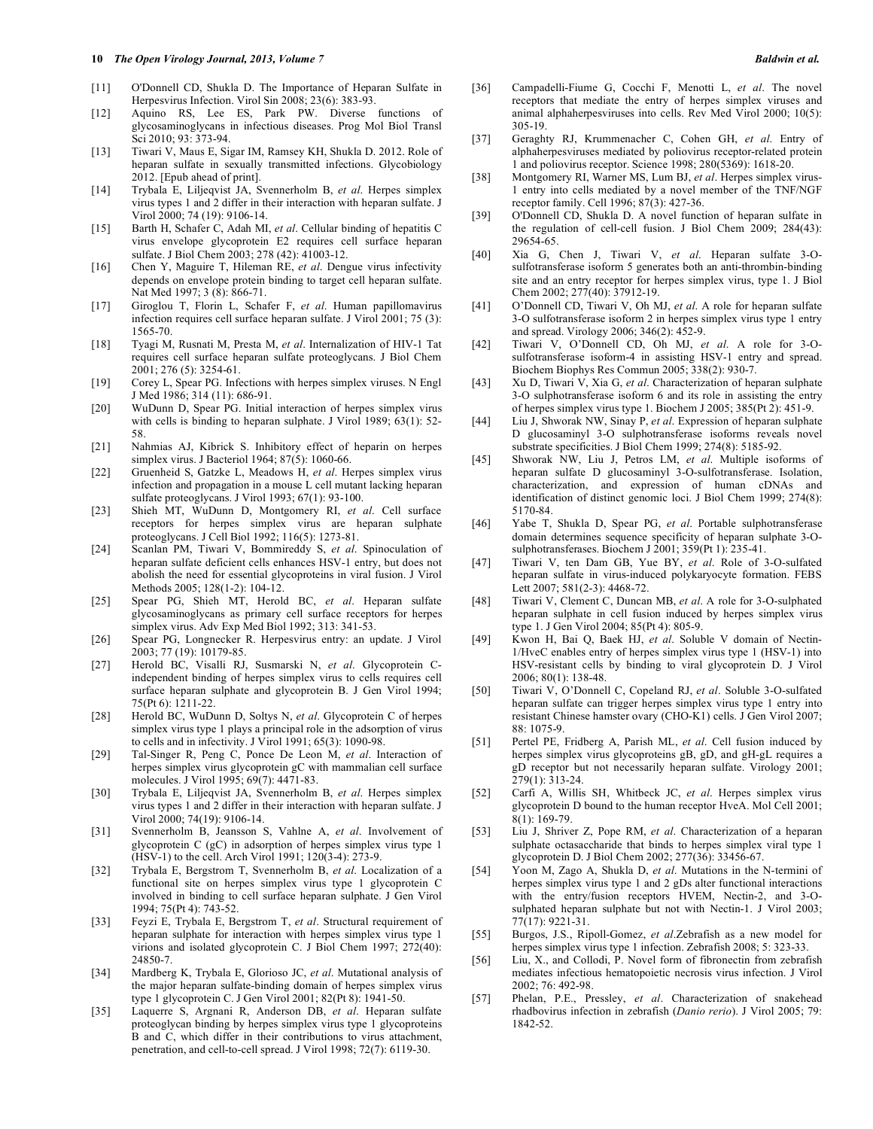- [11] O'Donnell CD, Shukla D. The Importance of Heparan Sulfate in Herpesvirus Infection. Virol Sin 2008; 23(6): 383-93.
- [12] Aquino RS, Lee ES, Park PW. Diverse functions of glycosaminoglycans in infectious diseases. Prog Mol Biol Transl Sci 2010; 93: 373-94.
- [13] Tiwari V, Maus E, Sigar IM, Ramsey KH, Shukla D. 2012. Role of heparan sulfate in sexually transmitted infections. Glycobiology 2012. [Epub ahead of print].
- [14] Trybala E, Liljeqvist JA, Svennerholm B, *et al*. Herpes simplex virus types 1 and 2 differ in their interaction with heparan sulfate. J Virol 2000; 74 (19): 9106-14.
- [15] Barth H, Schafer C, Adah MI, *et al*. Cellular binding of hepatitis C virus envelope glycoprotein E2 requires cell surface heparan sulfate. J Biol Chem 2003; 278 (42): 41003-12.
- [16] Chen Y, Maguire T, Hileman RE, *et al*. Dengue virus infectivity depends on envelope protein binding to target cell heparan sulfate. Nat Med 1997; 3 (8): 866-71.
- [17] Giroglou T, Florin L, Schafer F, *et al*. Human papillomavirus infection requires cell surface heparan sulfate. J Virol 2001; 75 (3): 1565-70.
- [18] Tyagi M, Rusnati M, Presta M, *et al*. Internalization of HIV-1 Tat requires cell surface heparan sulfate proteoglycans. J Biol Chem 2001; 276 (5): 3254-61.
- [19] Corey L, Spear PG. Infections with herpes simplex viruses. N Engl J Med 1986; 314 (11): 686-91.
- [20] WuDunn D, Spear PG. Initial interaction of herpes simplex virus with cells is binding to heparan sulphate. J Virol 1989; 63(1): 52-58.
- [21] Nahmias AJ, Kibrick S. Inhibitory effect of heparin on herpes simplex virus. J Bacteriol 1964; 87(5): 1060-66.
- [22] Gruenheid S, Gatzke L, Meadows H, *et al*. Herpes simplex virus infection and propagation in a mouse L cell mutant lacking heparan sulfate proteoglycans. J Virol 1993; 67(1): 93-100.
- [23] Shieh MT, WuDunn D, Montgomery RI, *et al*. Cell surface receptors for herpes simplex virus are heparan sulphate proteoglycans. J Cell Biol 1992; 116(5): 1273-81.
- [24] Scanlan PM, Tiwari V, Bommireddy S, *et al*. Spinoculation of heparan sulfate deficient cells enhances HSV-1 entry, but does not abolish the need for essential glycoproteins in viral fusion. J Virol Methods 2005; 128(1-2): 104-12.
- [25] Spear PG, Shieh MT, Herold BC, *et al*. Heparan sulfate glycosaminoglycans as primary cell surface receptors for herpes simplex virus. Adv Exp Med Biol 1992; 313: 341-53.
- [26] Spear PG, Longnecker R. Herpesvirus entry: an update. J Virol 2003; 77 (19): 10179-85.
- [27] Herold BC, Visalli RJ, Susmarski N, *et al*. Glycoprotein Cindependent binding of herpes simplex virus to cells requires cell surface heparan sulphate and glycoprotein B. J Gen Virol 1994; 75(Pt 6): 1211-22.
- [28] Herold BC, WuDunn D, Soltys N, *et al*. Glycoprotein C of herpes simplex virus type 1 plays a principal role in the adsorption of virus to cells and in infectivity. J Virol 1991; 65(3): 1090-98.
- [29] Tal-Singer R, Peng C, Ponce De Leon M, *et al*. Interaction of herpes simplex virus glycoprotein gC with mammalian cell surface molecules. J Virol 1995; 69(7): 4471-83.
- [30] Trybala E, Liljeqvist JA, Svennerholm B, *et al*. Herpes simplex virus types 1 and 2 differ in their interaction with heparan sulfate. J Virol 2000; 74(19): 9106-14.
- [31] Svennerholm B, Jeansson S, Vahlne A, *et al*. Involvement of glycoprotein C (gC) in adsorption of herpes simplex virus type 1 (HSV-1) to the cell. Arch Virol 1991; 120(3-4): 273-9.
- [32] Trybala E, Bergstrom T, Svennerholm B, *et al*. Localization of a functional site on herpes simplex virus type 1 glycoprotein C involved in binding to cell surface heparan sulphate. J Gen Virol 1994; 75(Pt 4): 743-52.
- [33] Feyzi E, Trybala E, Bergstrom T, *et al*. Structural requirement of heparan sulphate for interaction with herpes simplex virus type 1 virions and isolated glycoprotein C. J Biol Chem 1997; 272(40): 24850-7.
- [34] Mardberg K, Trybala E, Glorioso JC, *et al*. Mutational analysis of the major heparan sulfate-binding domain of herpes simplex virus type 1 glycoprotein C. J Gen Virol 2001; 82(Pt 8): 1941-50.
- [35] Laquerre S, Argnani R, Anderson DB, *et al*. Heparan sulfate proteoglycan binding by herpes simplex virus type 1 glycoproteins B and C, which differ in their contributions to virus attachment, penetration, and cell-to-cell spread. J Virol 1998; 72(7): 6119-30.
- [36] Campadelli-Fiume G, Cocchi F, Menotti L, *et al*. The novel receptors that mediate the entry of herpes simplex viruses and animal alphaherpesviruses into cells. Rev Med Virol 2000; 10(5): 305-19.
- [37] Geraghty RJ, Krummenacher C, Cohen GH, *et al*. Entry of alphaherpesviruses mediated by poliovirus receptor-related protein 1 and poliovirus receptor. Science 1998; 280(5369): 1618-20.
- [38] Montgomery RI, Warner MS, Lum BJ, *et al*. Herpes simplex virus-1 entry into cells mediated by a novel member of the TNF/NGF receptor family. Cell 1996; 87(3): 427-36.
- [39] O'Donnell CD, Shukla D. A novel function of heparan sulfate in the regulation of cell-cell fusion. J Biol Chem 2009; 284(43): 29654-65.
- [40] Xia G, Chen J, Tiwari V, *et al*. Heparan sulfate 3-Osulfotransferase isoform 5 generates both an anti-thrombin-binding site and an entry receptor for herpes simplex virus, type 1. J Biol Chem 2002; 277(40): 37912-19.
- [41] O'Donnell CD, Tiwari V, Oh MJ, *et al*. A role for heparan sulfate 3-O sulfotransferase isoform 2 in herpes simplex virus type 1 entry and spread. Virology 2006; 346(2): 452-9.
- [42] Tiwari V, O'Donnell CD, Oh MJ, *et al*. A role for 3-Osulfotransferase isoform-4 in assisting HSV-1 entry and spread. Biochem Biophys Res Commun 2005; 338(2): 930-7.
- [43] Xu D, Tiwari V, Xia G, *et al*. Characterization of heparan sulphate 3-O sulphotransferase isoform 6 and its role in assisting the entry of herpes simplex virus type 1. Biochem J 2005; 385(Pt 2): 451-9.
- [44] Liu J, Shworak NW, Sinay P, *et al*. Expression of heparan sulphate D glucosaminyl 3-O sulphotransferase isoforms reveals novel substrate specificities. J Biol Chem 1999; 274(8): 5185-92.
- [45] Shworak NW, Liu J, Petros LM, *et al*. Multiple isoforms of heparan sulfate D glucosaminyl 3-O-sulfotransferase. Isolation, characterization, and expression of human cDNAs and identification of distinct genomic loci. J Biol Chem 1999; 274(8): 5170-84.
- [46] Yabe T, Shukla D, Spear PG, *et al*. Portable sulphotransferase domain determines sequence specificity of heparan sulphate 3-Osulphotransferases. Biochem J 2001; 359(Pt 1): 235-41.
- [47] Tiwari V, ten Dam GB, Yue BY, *et al*. Role of 3-O-sulfated heparan sulfate in virus-induced polykaryocyte formation. FEBS Lett 2007; 581(2-3): 4468-72.
- [48] Tiwari V, Clement C, Duncan MB, *et al*. A role for 3-O-sulphated heparan sulphate in cell fusion induced by herpes simplex virus type 1. J Gen Virol 2004; 85(Pt 4): 805-9.
- [49] Kwon H, Bai Q, Baek HJ, *et al*. Soluble V domain of Nectin-1/HveC enables entry of herpes simplex virus type 1 (HSV-1) into HSV-resistant cells by binding to viral glycoprotein D. J Virol 2006; 80(1): 138-48.
- [50] Tiwari V, O'Donnell C, Copeland RJ, *et al*. Soluble 3-O-sulfated heparan sulfate can trigger herpes simplex virus type 1 entry into resistant Chinese hamster ovary (CHO-K1) cells. J Gen Virol 2007; 88: 1075-9.
- [51] Pertel PE, Fridberg A, Parish ML, *et al*. Cell fusion induced by herpes simplex virus glycoproteins gB, gD, and gH-gL requires a gD receptor but not necessarily heparan sulfate. Virology 2001; 279(1): 313-24.
- [52] Carfi A, Willis SH, Whitbeck JC, *et al*. Herpes simplex virus glycoprotein D bound to the human receptor HveA. Mol Cell 2001; 8(1): 169-79.
- [53] Liu J, Shriver Z, Pope RM, *et al*. Characterization of a heparan sulphate octasaccharide that binds to herpes simplex viral type 1 glycoprotein D. J Biol Chem 2002; 277(36): 33456-67.
- [54] Yoon M, Zago A, Shukla D, *et al*. Mutations in the N-termini of herpes simplex virus type 1 and 2 gDs alter functional interactions with the entry/fusion receptors HVEM, Nectin-2, and 3-Osulphated heparan sulphate but not with Nectin-1. J Virol 2003; 77(17): 9221-31.
- [55] Burgos, J.S., Ripoll-Gomez, *et al*.Zebrafish as a new model for herpes simplex virus type 1 infection. Zebrafish 2008; 5: 323-33.
- [56] Liu, X., and Collodi, P. Novel form of fibronectin from zebrafish mediates infectious hematopoietic necrosis virus infection. J Virol 2002; 76: 492-98.
- [57] Phelan, P.E., Pressley, *et al*. Characterization of snakehead rhadbovirus infection in zebrafish (*Danio rerio*). J Virol 2005; 79: 1842-52.